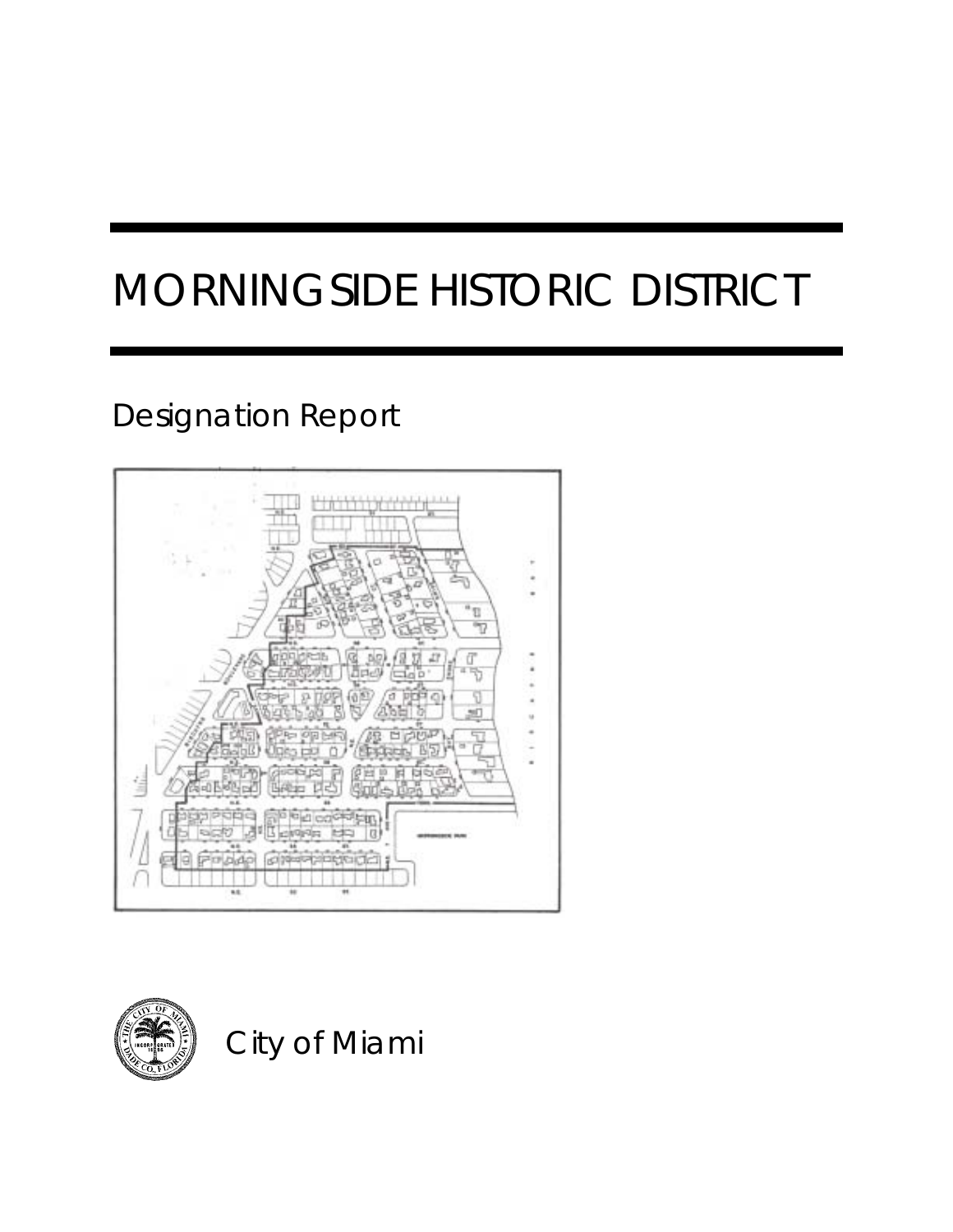# MORNINGSIDE HISTORIC DISTRICT

### Designation Report





City of Miami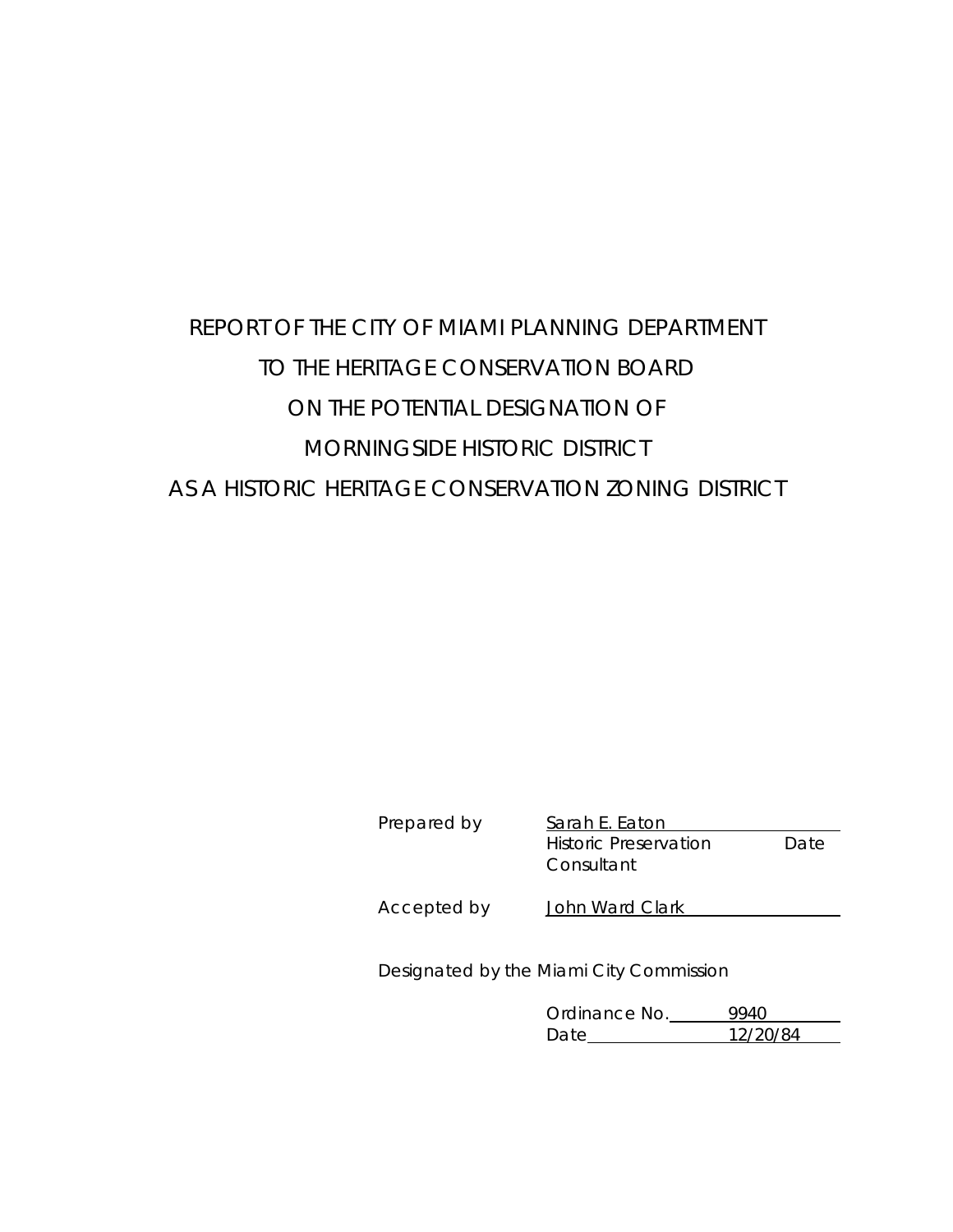### REPORT OF THE CITY OF MIAMI PLANNING DEPARTMENT TO THE HERITAGE CONSERVATION BOARD ON THE POTENTIAL DESIGNATION OF MORNINGSIDE HISTORIC DISTRICT AS A HISTORIC HERITAGE CONSERVATION ZONING DISTRICT

Sarah E. Eaton Historic Preservation Date **Consultant** 

Accepted by John Ward Clark

Designated by the Miami City Commission

Ordinance No. 9940 Date 12/20/84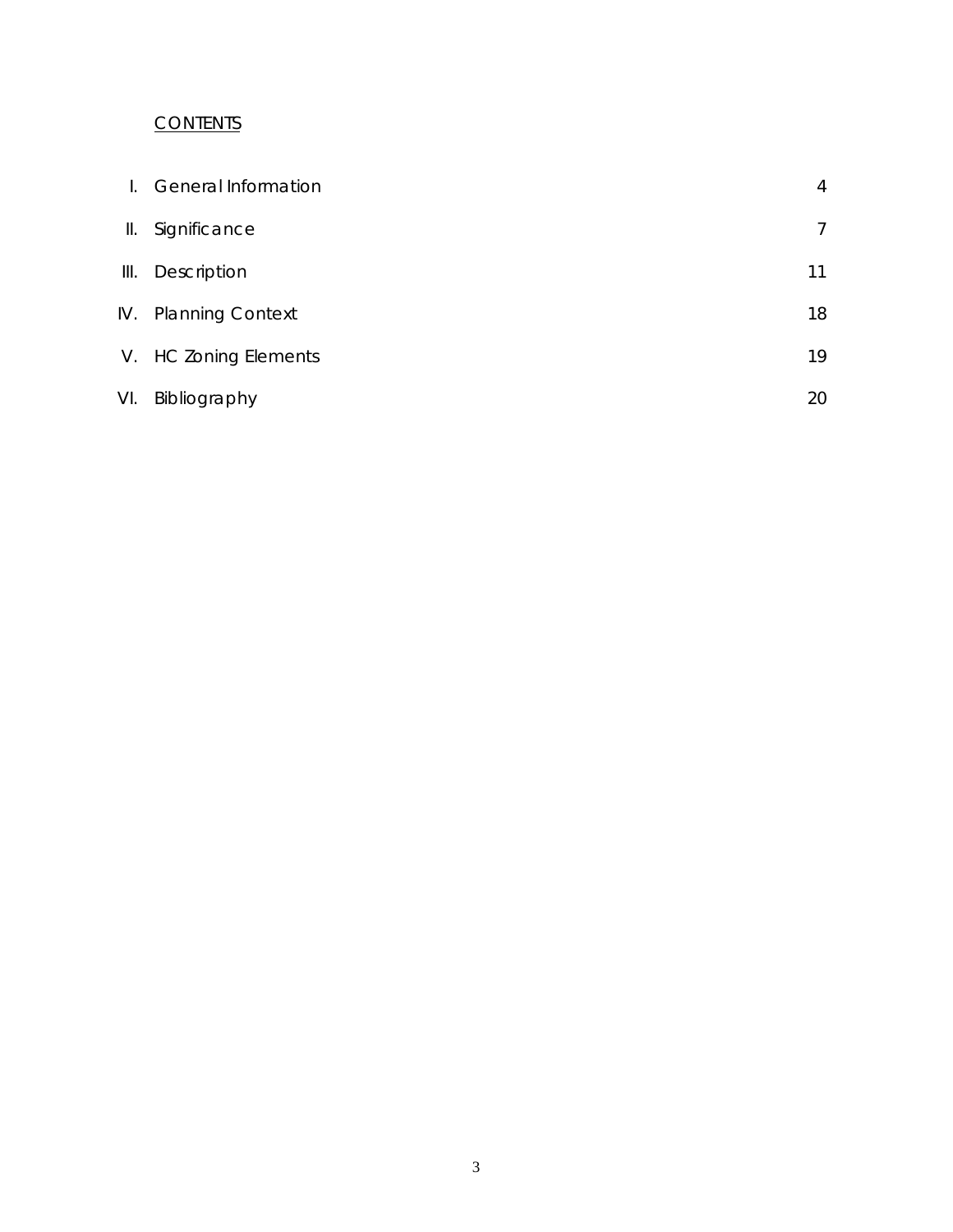#### **CONTENTS**

| L.  | <b>General Information</b> | 4  |
|-----|----------------------------|----|
| Ш.  | Significance               | 7  |
| Ш.  | Description                | 11 |
| IV. | <b>Planning Context</b>    | 18 |
|     | V. HC Zoning Elements      | 19 |
| VI. | Bibliography               | 20 |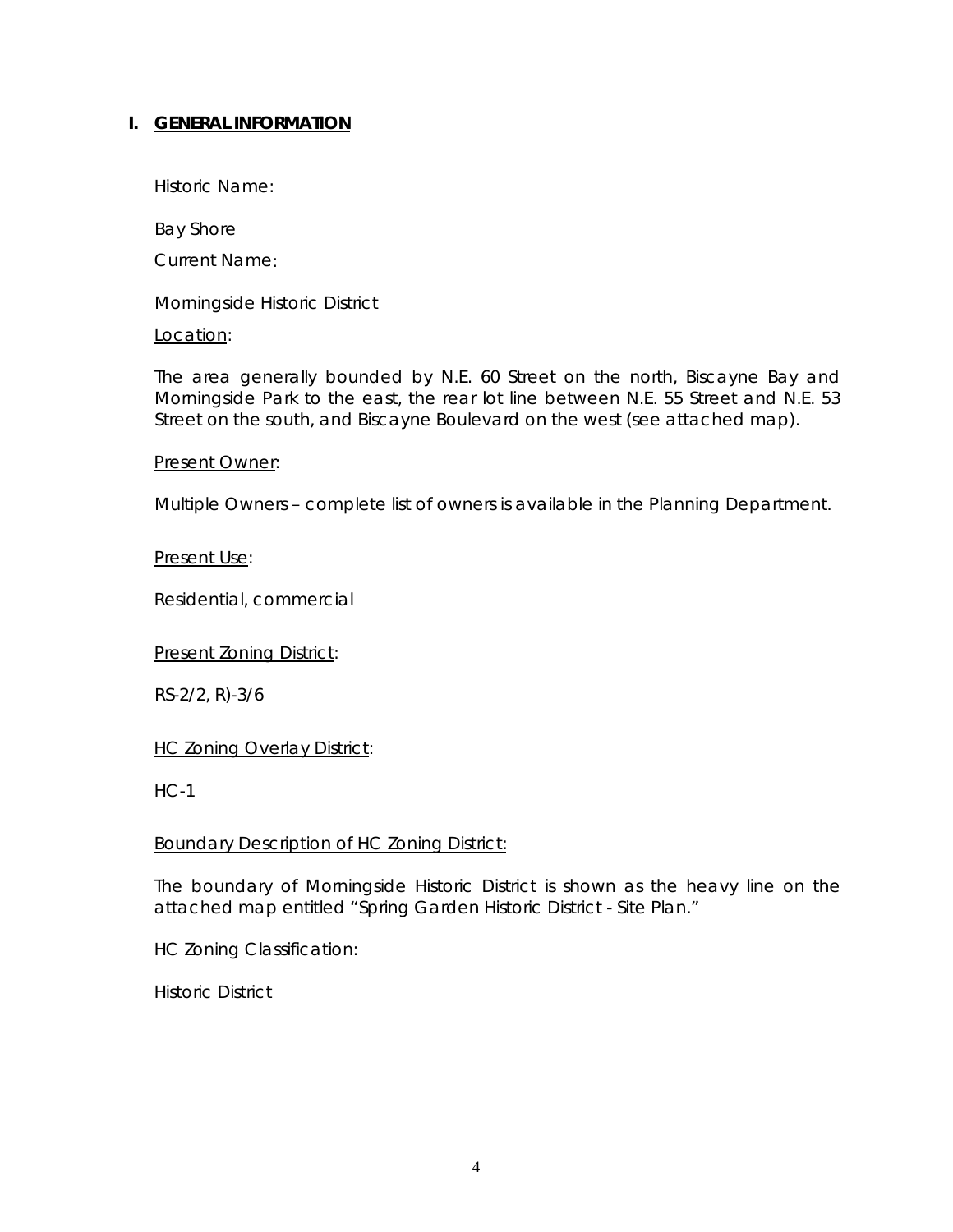#### **I. GENERAL INFORMATION**

Historic Name:

Bay Shore

Current Name:

Morningside Historic District

Location:

The area generally bounded by N.E. 60 Street on the north, Biscayne Bay and Morningside Park to the east, the rear lot line between N.E. 55 Street and N.E. 53 Street on the south, and Biscayne Boulevard on the west (see attached map).

#### Present Owner:

Multiple Owners – complete list of owners is available in the Planning Department.

#### Present Use:

Residential, commercial

Present Zoning District:

RS-2/2, R)-3/6

**HC Zoning Overlay District:** 

HC-1

#### Boundary Description of HC Zoning District:

The boundary of Morningside Historic District is shown as the heavy line on the attached map entitled "Spring Garden Historic District - Site Plan."

#### **HC Zoning Classification:**

Historic District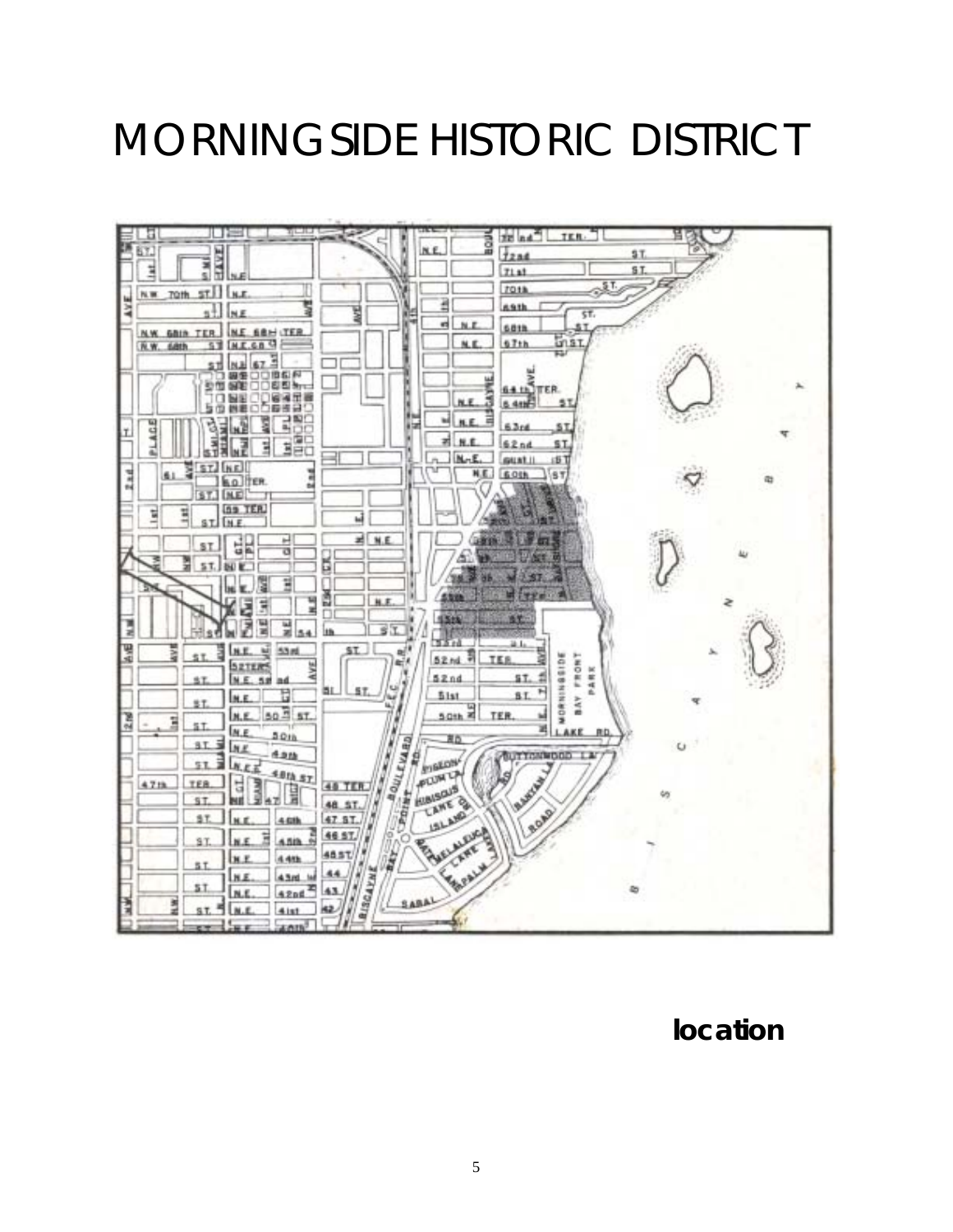## MORNINGSIDE HISTORIC DISTRICT



 **location**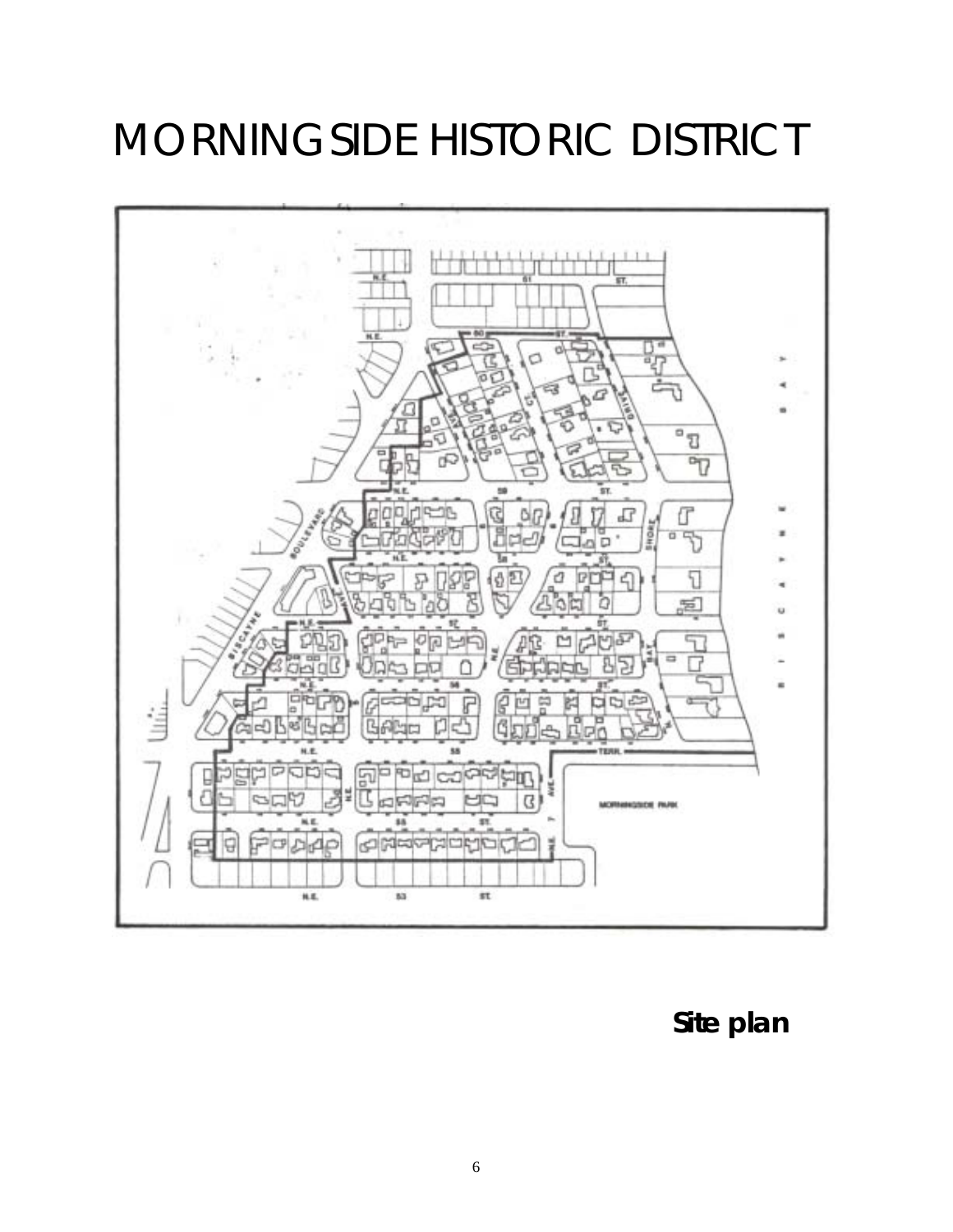## MORNINGSIDE HISTORIC DISTRICT



 **Site plan**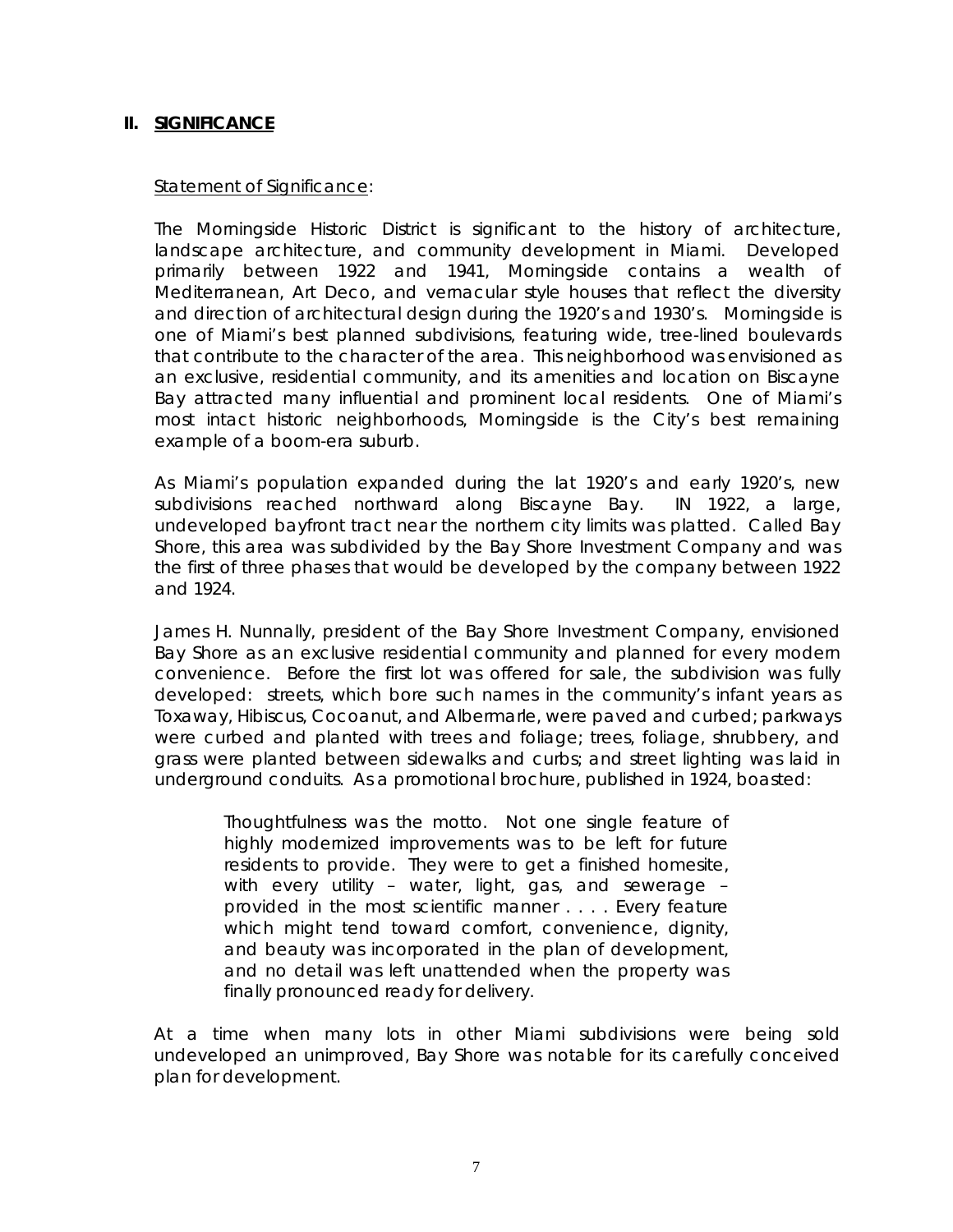#### **II. SIGNIFICANCE**

#### Statement of Significance:

The Morningside Historic District is significant to the history of architecture, landscape architecture, and community development in Miami. Developed primarily between 1922 and 1941, Morningside contains a wealth of Mediterranean, Art Deco, and vernacular style houses that reflect the diversity and direction of architectural design during the 1920's and 1930's. Morningside is one of Miami's best planned subdivisions, featuring wide, tree-lined boulevards that contribute to the character of the area. This neighborhood was envisioned as an exclusive, residential community, and its amenities and location on Biscayne Bay attracted many influential and prominent local residents. One of Miami's most intact historic neighborhoods, Morningside is the City's best remaining example of a boom-era suburb.

As Miami's population expanded during the lat 1920's and early 1920's, new subdivisions reached northward along Biscayne Bay. IN 1922, a large, undeveloped bayfront tract near the northern city limits was platted. Called Bay Shore, this area was subdivided by the Bay Shore Investment Company and was the first of three phases that would be developed by the company between 1922 and 1924.

James H. Nunnally, president of the Bay Shore Investment Company, envisioned Bay Shore as an exclusive residential community and planned for every modern convenience. Before the first lot was offered for sale, the subdivision was fully developed: streets, which bore such names in the community's infant years as Toxaway, Hibiscus, Cocoanut, and Albermarle, were paved and curbed; parkways were curbed and planted with trees and foliage; trees, foliage, shrubbery, and grass were planted between sidewalks and curbs; and street lighting was laid in underground conduits. As a promotional brochure, published in 1924, boasted:

> Thoughtfulness was the motto. Not one single feature of highly modernized improvements was to be left for future residents to provide. They were to get a finished homesite, with every utility – water, light, gas, and sewerage – provided in the most scientific manner . . . . Every feature which might tend toward comfort, convenience, dignity, and beauty was incorporated in the plan of development, and no detail was left unattended when the property was finally pronounced ready for delivery.

At a time when many lots in other Miami subdivisions were being sold undeveloped an unimproved, Bay Shore was notable for its carefully conceived plan for development.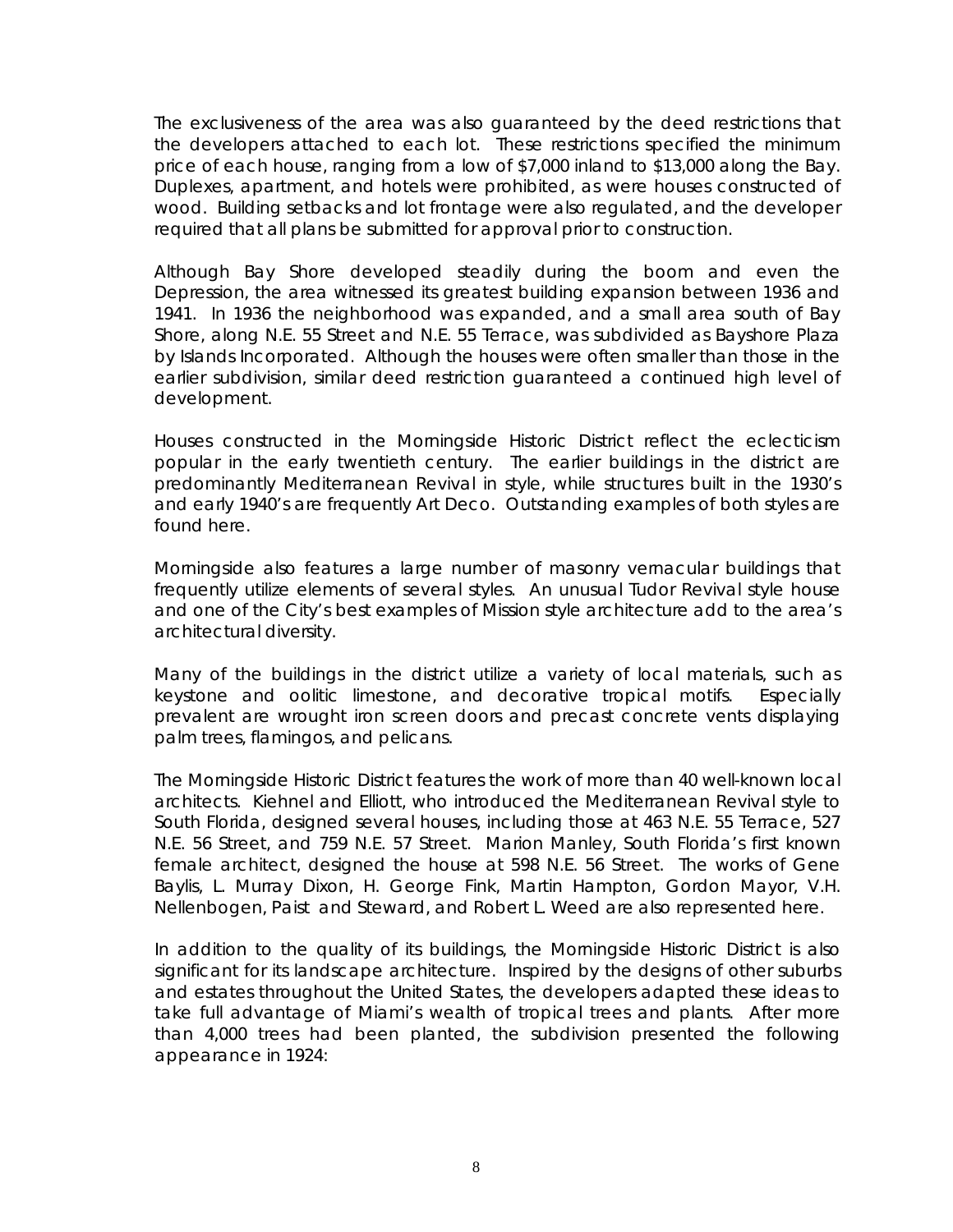The exclusiveness of the area was also guaranteed by the deed restrictions that the developers attached to each lot. These restrictions specified the minimum price of each house, ranging from a low of \$7,000 inland to \$13,000 along the Bay. Duplexes, apartment, and hotels were prohibited, as were houses constructed of wood. Building setbacks and lot frontage were also regulated, and the developer required that all plans be submitted for approval prior to construction.

Although Bay Shore developed steadily during the boom and even the Depression, the area witnessed its greatest building expansion between 1936 and 1941. In 1936 the neighborhood was expanded, and a small area south of Bay Shore, along N.E. 55 Street and N.E. 55 Terrace, was subdivided as Bayshore Plaza by Islands Incorporated. Although the houses were often smaller than those in the earlier subdivision, similar deed restriction guaranteed a continued high level of development.

Houses constructed in the Morningside Historic District reflect the eclecticism popular in the early twentieth century. The earlier buildings in the district are predominantly Mediterranean Revival in style, while structures built in the 1930's and early 1940's are frequently Art Deco. Outstanding examples of both styles are found here.

Morningside also features a large number of masonry vernacular buildings that frequently utilize elements of several styles. An unusual Tudor Revival style house and one of the City's best examples of Mission style architecture add to the area's architectural diversity.

Many of the buildings in the district utilize a variety of local materials, such as keystone and oolitic limestone, and decorative tropical motifs. Especially prevalent are wrought iron screen doors and precast concrete vents displaying palm trees, flamingos, and pelicans.

The Morningside Historic District features the work of more than 40 well-known local architects. Kiehnel and Elliott, who introduced the Mediterranean Revival style to South Florida, designed several houses, including those at 463 N.E. 55 Terrace, 527 N.E. 56 Street, and 759 N.E. 57 Street. Marion Manley, South Florida's first known female architect, designed the house at 598 N.E. 56 Street. The works of Gene Baylis, L. Murray Dixon, H. George Fink, Martin Hampton, Gordon Mayor, V.H. Nellenbogen, Paist and Steward, and Robert L. Weed are also represented here.

In addition to the quality of its buildings, the Morningside Historic District is also significant for its landscape architecture. Inspired by the designs of other suburbs and estates throughout the United States, the developers adapted these ideas to take full advantage of Miami's wealth of tropical trees and plants. After more than 4,000 trees had been planted, the subdivision presented the following appearance in 1924: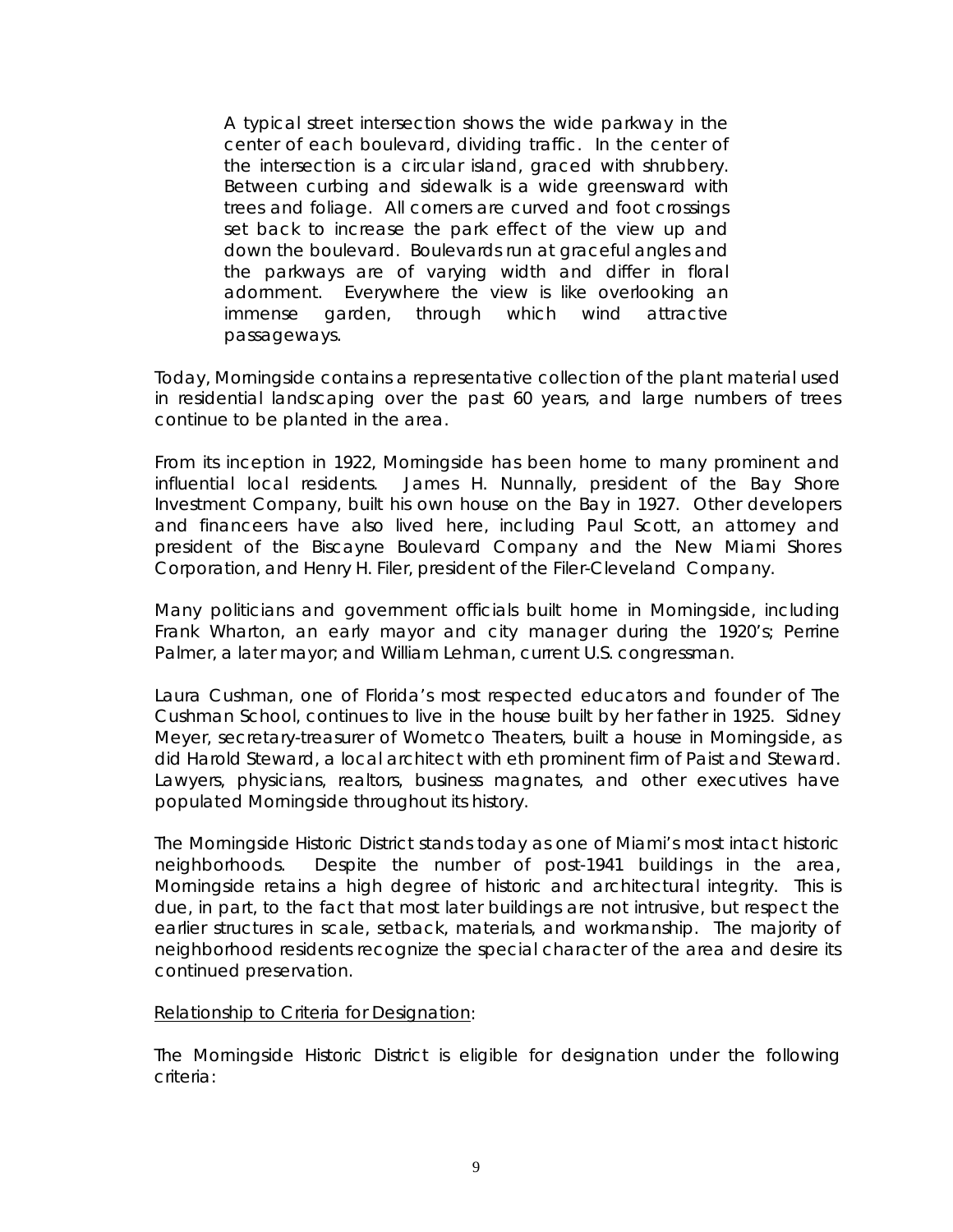A typical street intersection shows the wide parkway in the center of each boulevard, dividing traffic. In the center of the intersection is a circular island, graced with shrubbery. Between curbing and sidewalk is a wide greensward with trees and foliage. All corners are curved and foot crossings set back to increase the park effect of the view up and down the boulevard. Boulevards run at graceful angles and the parkways are of varying width and differ in floral adornment. Everywhere the view is like overlooking an immense garden, through which wind attractive passageways.

Today, Morningside contains a representative collection of the plant material used in residential landscaping over the past 60 years, and large numbers of trees continue to be planted in the area.

From its inception in 1922, Morningside has been home to many prominent and influential local residents. James H. Nunnally, president of the Bay Shore Investment Company, built his own house on the Bay in 1927. Other developers and financeers have also lived here, including Paul Scott, an attorney and president of the Biscayne Boulevard Company and the New Miami Shores Corporation, and Henry H. Filer, president of the Filer-Cleveland Company.

Many politicians and government officials built home in Morningside, including Frank Wharton, an early mayor and city manager during the 1920's; Perrine Palmer, a later mayor; and William Lehman, current U.S. congressman.

Laura Cushman, one of Florida's most respected educators and founder of The Cushman School, continues to live in the house built by her father in 1925. Sidney Meyer, secretary-treasurer of Wometco Theaters, built a house in Morningside, as did Harold Steward, a local architect with eth prominent firm of Paist and Steward. Lawyers, physicians, realtors, business magnates, and other executives have populated Morningside throughout its history.

The Morningside Historic District stands today as one of Miami's most intact historic neighborhoods. Despite the number of post-1941 buildings in the area, Morningside retains a high degree of historic and architectural integrity. This is due, in part, to the fact that most later buildings are not intrusive, but respect the earlier structures in scale, setback, materials, and workmanship. The majority of neighborhood residents recognize the special character of the area and desire its continued preservation.

#### Relationship to Criteria for Designation:

The Morningside Historic District is eligible for designation under the following criteria: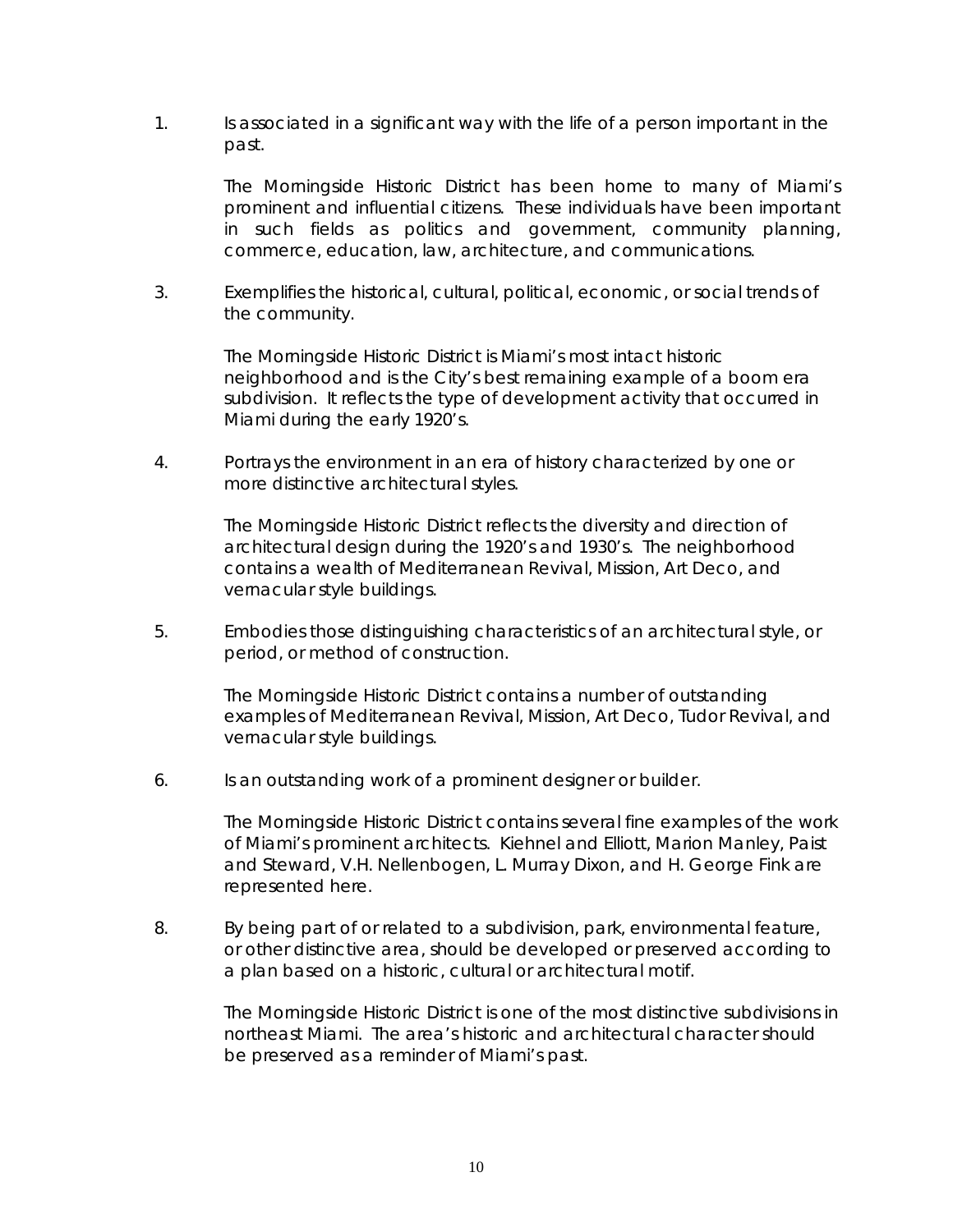1. Is associated in a significant way with the life of a person important in the past.

> The Morningside Historic District has been home to many of Miami's prominent and influential citizens. These individuals have been important in such fields as politics and government, community planning, commerce, education, law, architecture, and communications.

3. Exemplifies the historical, cultural, political, economic, or social trends of the community.

> The Morningside Historic District is Miami's most intact historic neighborhood and is the City's best remaining example of a boom era subdivision. It reflects the type of development activity that occurred in Miami during the early 1920's.

4. Portrays the environment in an era of history characterized by one or more distinctive architectural styles.

> The Morningside Historic District reflects the diversity and direction of architectural design during the 1920's and 1930's. The neighborhood contains a wealth of Mediterranean Revival, Mission, Art Deco, and vernacular style buildings.

5. Embodies those distinguishing characteristics of an architectural style, or period, or method of construction.

> The Morningside Historic District contains a number of outstanding examples of Mediterranean Revival, Mission, Art Deco, Tudor Revival, and vernacular style buildings.

6. Is an outstanding work of a prominent designer or builder.

The Morningside Historic District contains several fine examples of the work of Miami's prominent architects. Kiehnel and Elliott, Marion Manley, Paist and Steward, V.H. Nellenbogen, L. Murray Dixon, and H. George Fink are represented here.

8. By being part of or related to a subdivision, park, environmental feature, or other distinctive area, should be developed or preserved according to a plan based on a historic, cultural or architectural motif.

> The Morningside Historic District is one of the most distinctive subdivisions in northeast Miami. The area's historic and architectural character should be preserved as a reminder of Miami's past.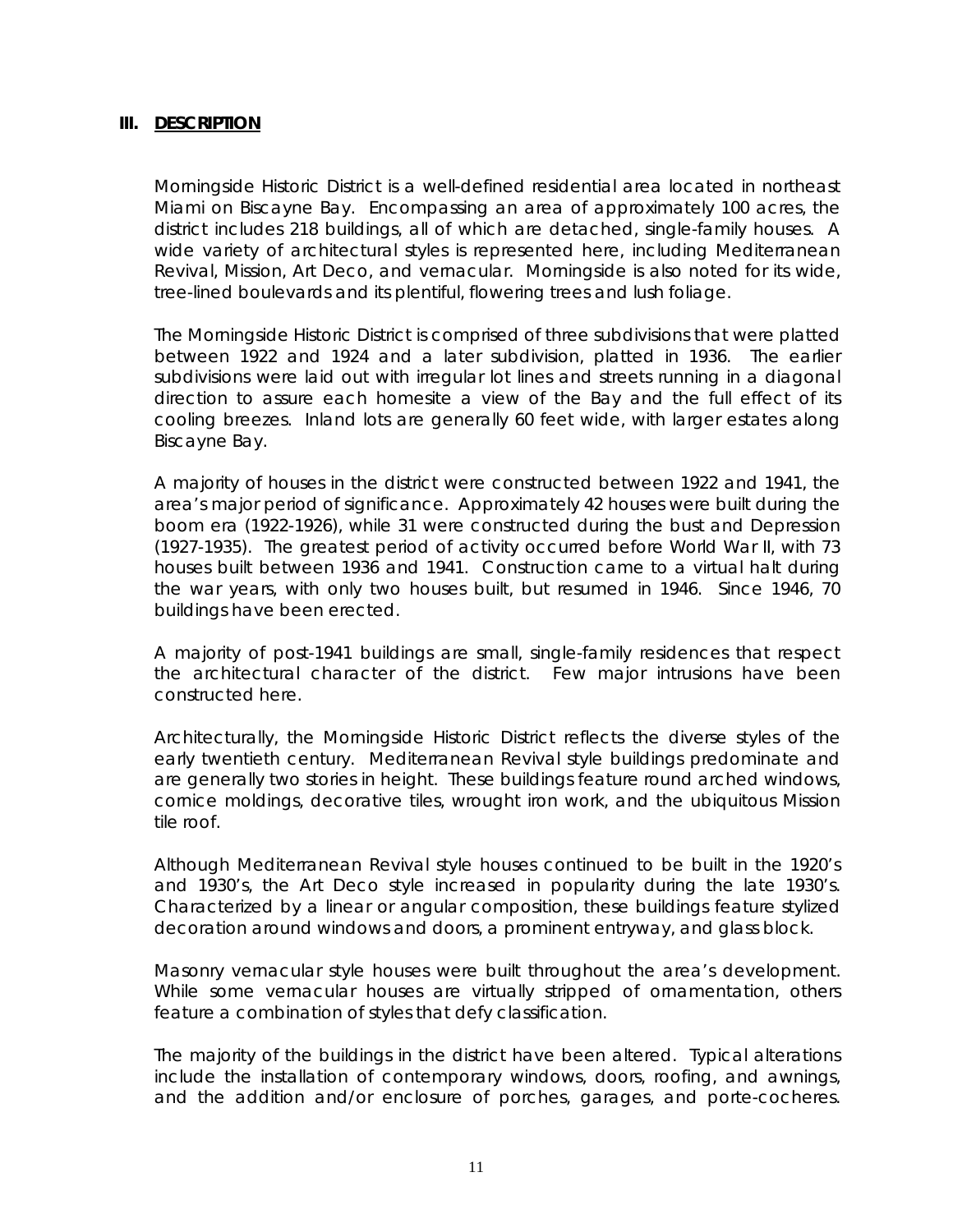#### **III. DESCRIPTION**

Morningside Historic District is a well-defined residential area located in northeast Miami on Biscayne Bay. Encompassing an area of approximately 100 acres, the district includes 218 buildings, all of which are detached, single-family houses. A wide variety of architectural styles is represented here, including Mediterranean Revival, Mission, Art Deco, and vernacular. Morningside is also noted for its wide, tree-lined boulevards and its plentiful, flowering trees and lush foliage.

The Morningside Historic District is comprised of three subdivisions that were platted between 1922 and 1924 and a later subdivision, platted in 1936. The earlier subdivisions were laid out with irregular lot lines and streets running in a diagonal direction to assure each homesite a view of the Bay and the full effect of its cooling breezes. Inland lots are generally 60 feet wide, with larger estates along Biscayne Bay.

A majority of houses in the district were constructed between 1922 and 1941, the area's major period of significance. Approximately 42 houses were built during the boom era (1922-1926), while 31 were constructed during the bust and Depression (1927-1935). The greatest period of activity occurred before World War II, with 73 houses built between 1936 and 1941. Construction came to a virtual halt during the war years, with only two houses built, but resumed in 1946. Since 1946, 70 buildings have been erected.

A majority of post-1941 buildings are small, single-family residences that respect the architectural character of the district. Few major intrusions have been constructed here.

Architecturally, the Morningside Historic District reflects the diverse styles of the early twentieth century. Mediterranean Revival style buildings predominate and are generally two stories in height. These buildings feature round arched windows, cornice moldings, decorative tiles, wrought iron work, and the ubiquitous Mission tile roof.

Although Mediterranean Revival style houses continued to be built in the 1920's and 1930's, the Art Deco style increased in popularity during the late 1930's. Characterized by a linear or angular composition, these buildings feature stylized decoration around windows and doors, a prominent entryway, and glass block.

Masonry vernacular style houses were built throughout the area's development. While some vernacular houses are virtually stripped of ornamentation, others feature a combination of styles that defy classification.

The majority of the buildings in the district have been altered. Typical alterations include the installation of contemporary windows, doors, roofing, and awnings, and the addition and/or enclosure of porches, garages, and porte-cocheres.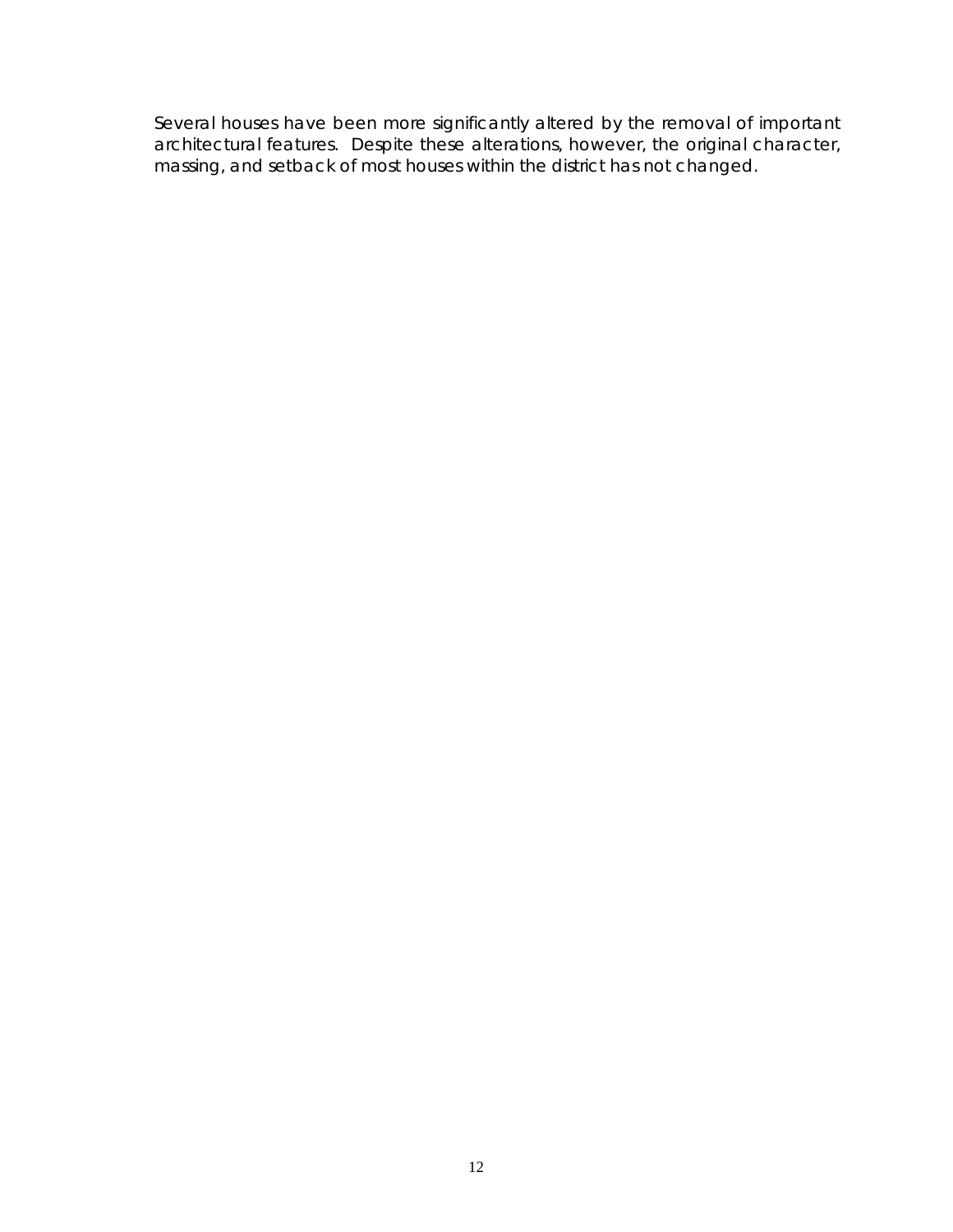Several houses have been more significantly altered by the removal of important architectural features. Despite these alterations, however, the original character, massing, and setback of most houses within the district has not changed.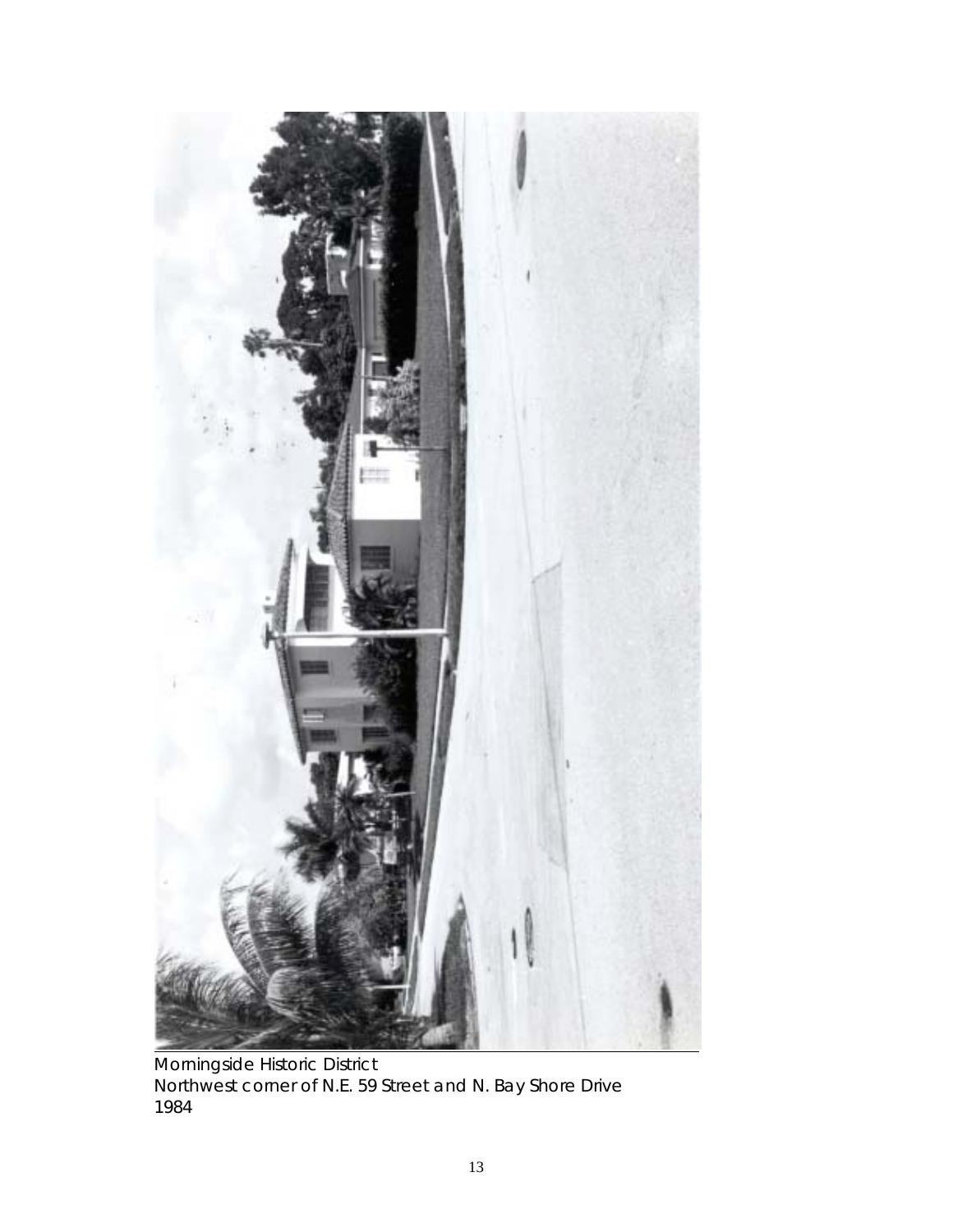

Morningside Historic District Northwest corner of N.E. 59 Street and N. Bay Shore Drive 1984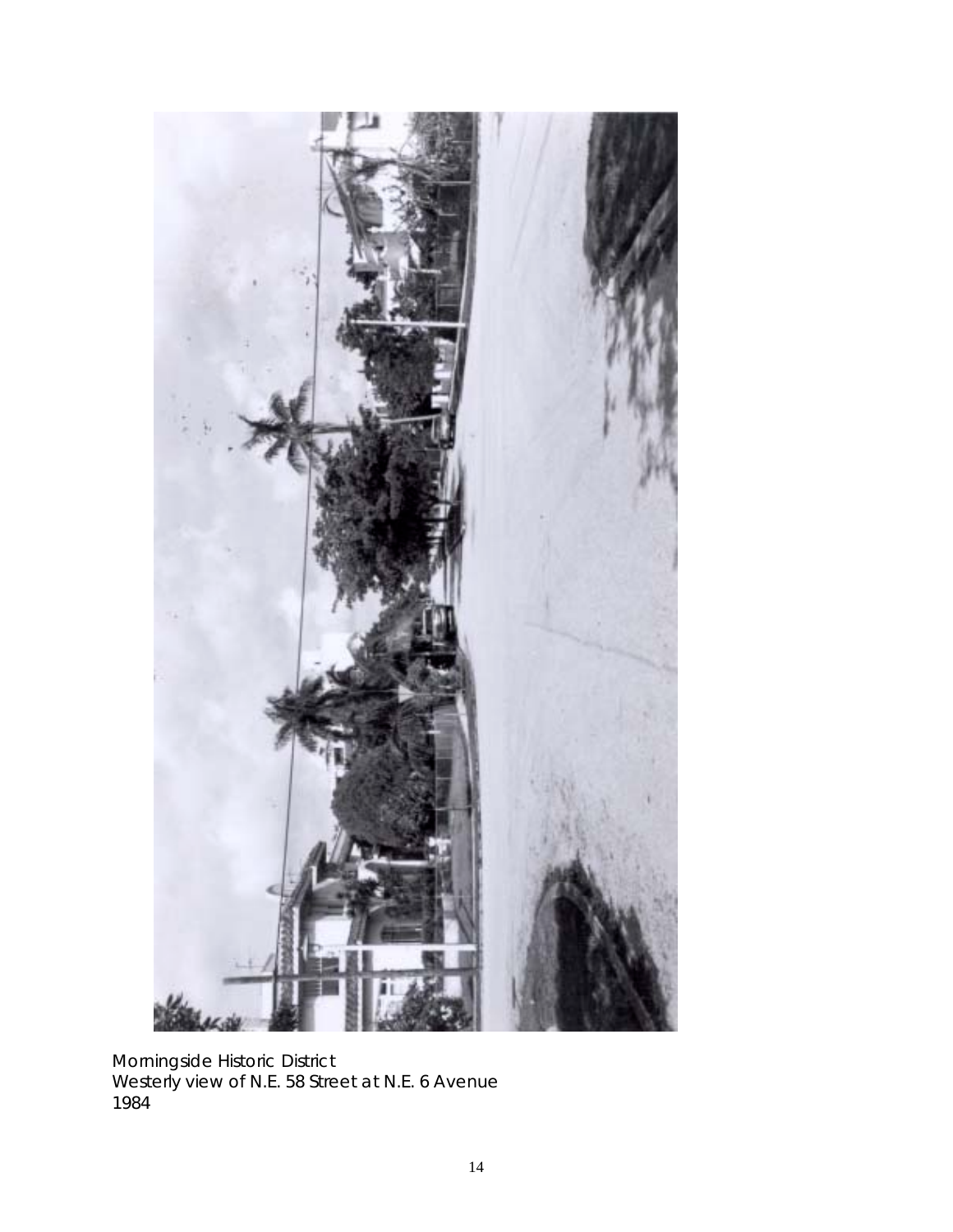

Morningside Historic District Westerly view of N.E. 58 Street at N.E. 6 Avenue 1984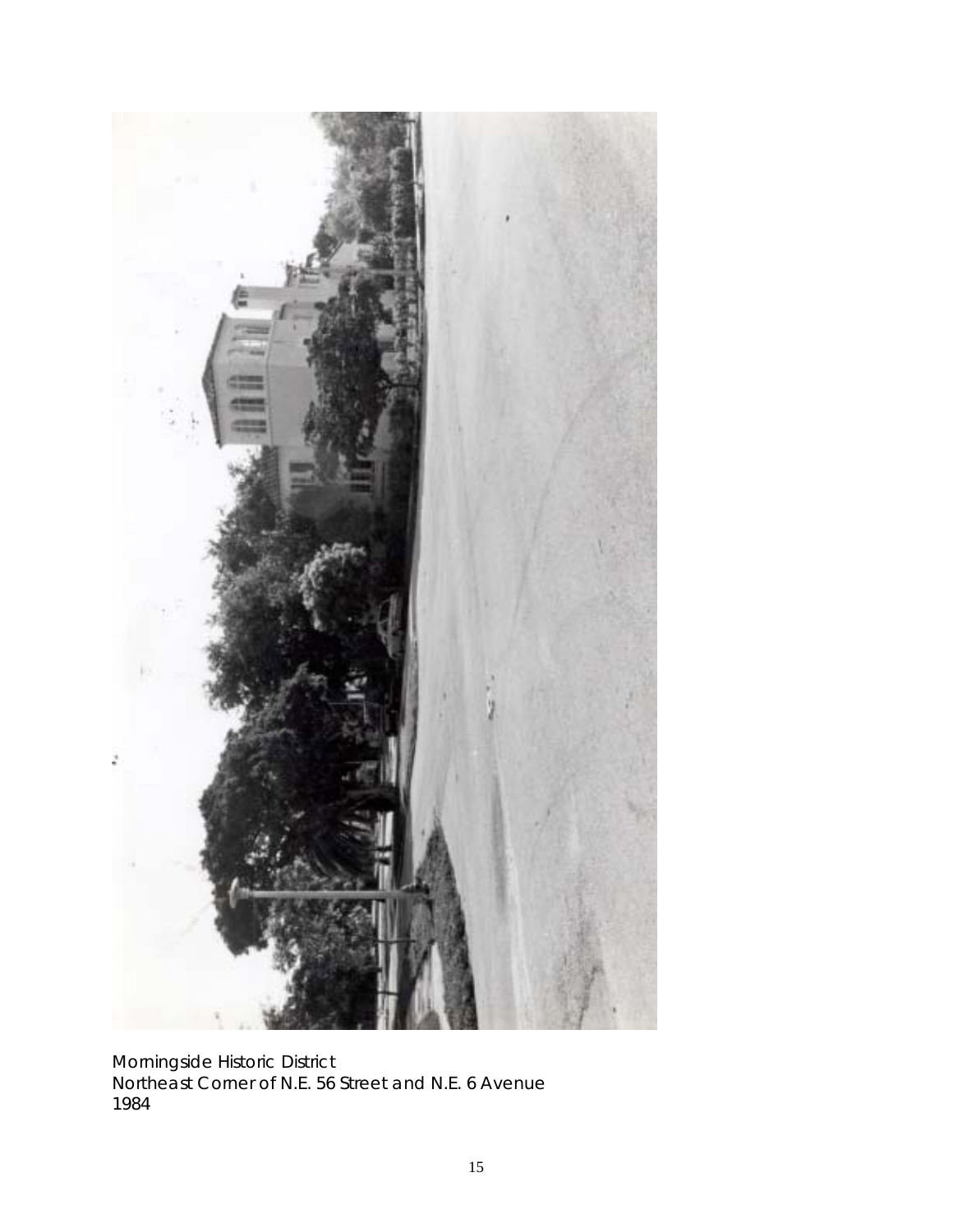

Morningside Historic District Northeast Corner of N.E. 56 Street and N.E. 6 Avenue 1984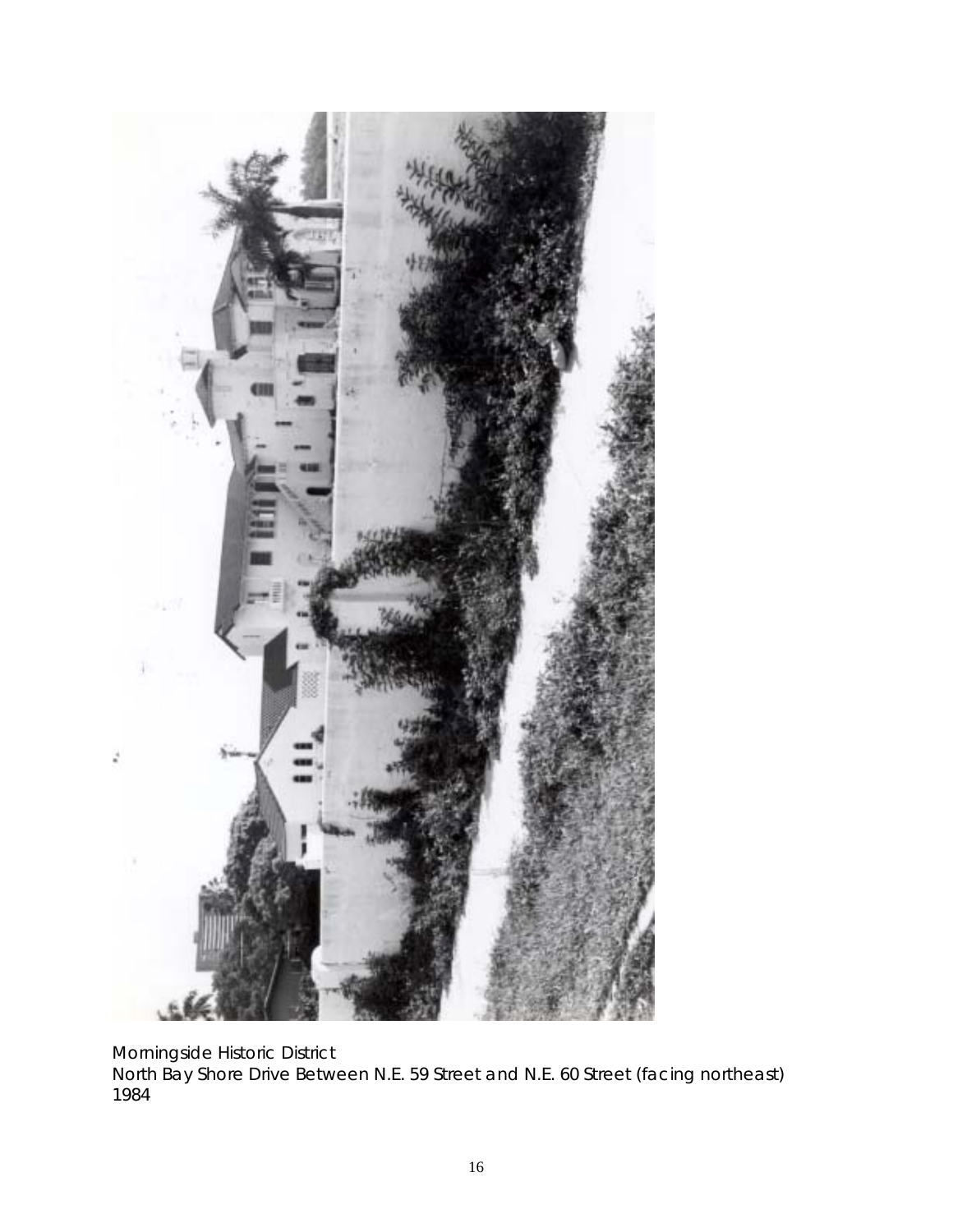

Morningside Historic District

North Bay Shore Drive Between N.E. 59 Street and N.E. 60 Street (facing northeast) 1984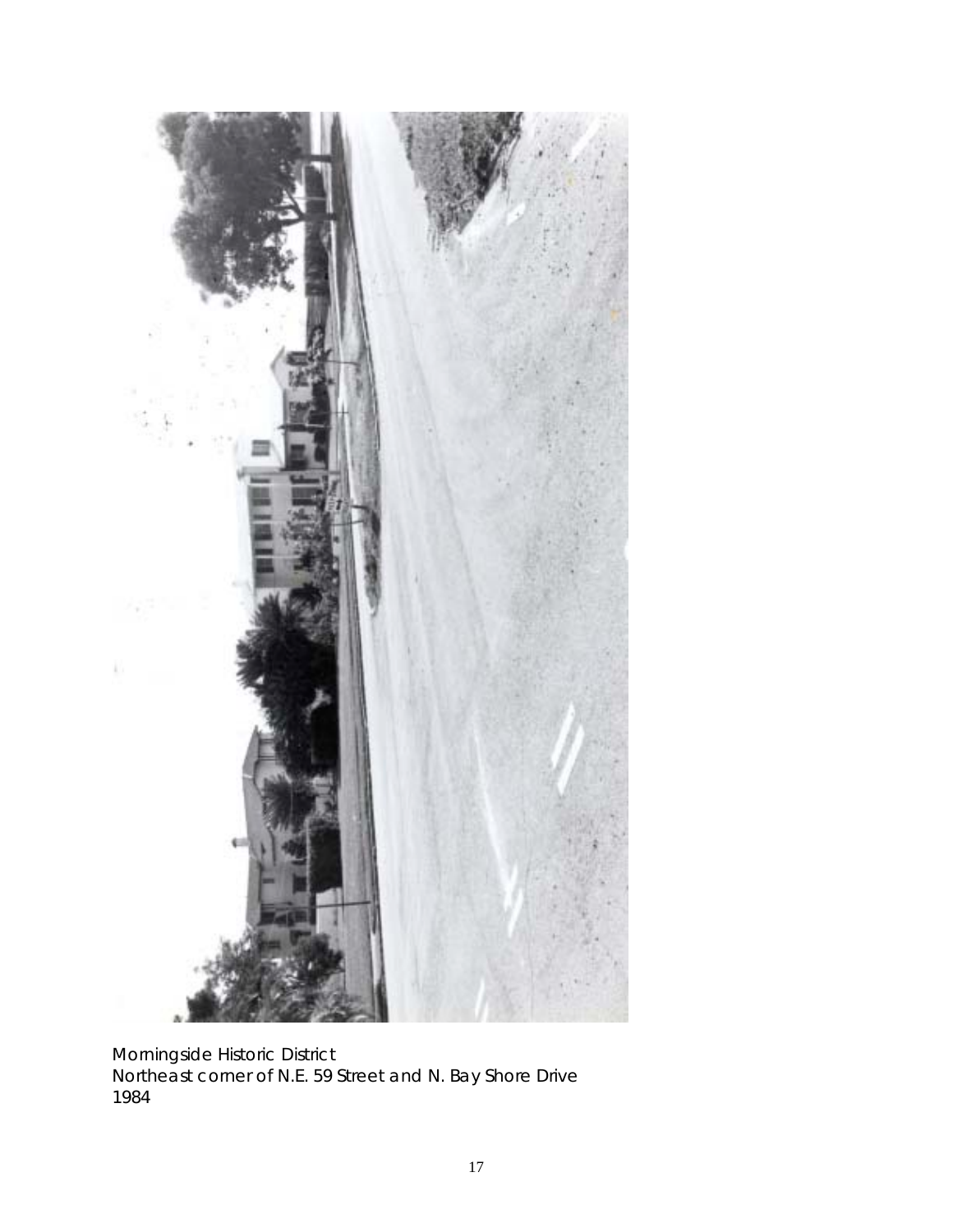

Morningside Historic District Northeast corner of N.E. 59 Street and N. Bay Shore Drive 1984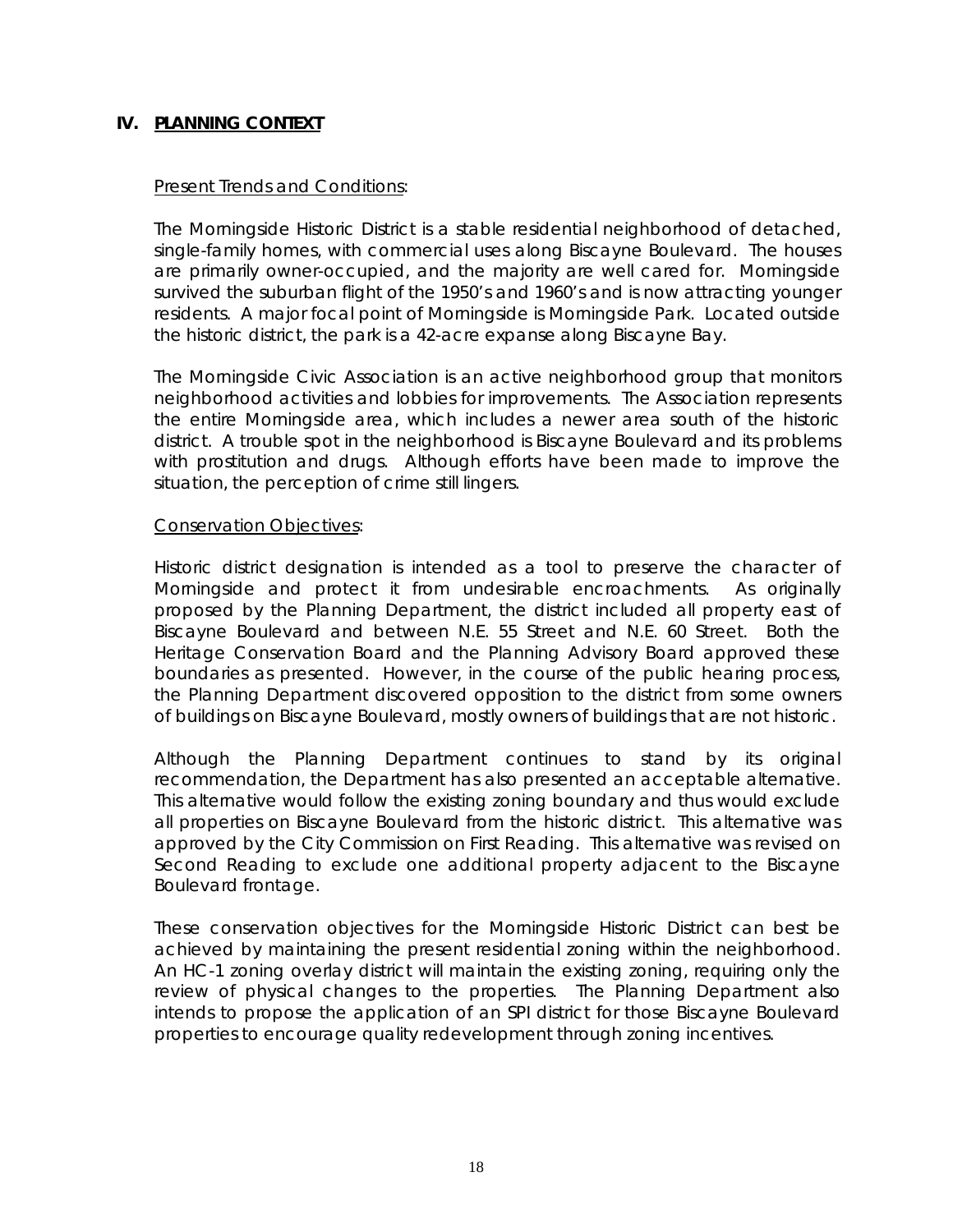#### **IV. PLANNING CONTEXT**

#### **Present Trends and Conditions:**

The Morningside Historic District is a stable residential neighborhood of detached, single-family homes, with commercial uses along Biscayne Boulevard. The houses are primarily owner-occupied, and the majority are well cared for. Morningside survived the suburban flight of the 1950's and 1960's and is now attracting younger residents. A major focal point of Morningside is Morningside Park. Located outside the historic district, the park is a 42-acre expanse along Biscayne Bay.

The Morningside Civic Association is an active neighborhood group that monitors neighborhood activities and lobbies for improvements. The Association represents the entire Morningside area, which includes a newer area south of the historic district. A trouble spot in the neighborhood is Biscayne Boulevard and its problems with prostitution and drugs. Although efforts have been made to improve the situation, the perception of crime still lingers.

#### Conservation Objectives:

Historic district designation is intended as a tool to preserve the character of Morningside and protect it from undesirable encroachments. As originally proposed by the Planning Department, the district included all property east of Biscayne Boulevard and between N.E. 55 Street and N.E. 60 Street. Both the Heritage Conservation Board and the Planning Advisory Board approved these boundaries as presented. However, in the course of the public hearing process, the Planning Department discovered opposition to the district from some owners of buildings on Biscayne Boulevard, mostly owners of buildings that are not historic.

Although the Planning Department continues to stand by its original recommendation, the Department has also presented an acceptable alternative. This alternative would follow the existing zoning boundary and thus would exclude all properties on Biscayne Boulevard from the historic district. This alternative was approved by the City Commission on First Reading. This alternative was revised on Second Reading to exclude one additional property adjacent to the Biscayne Boulevard frontage.

These conservation objectives for the Morningside Historic District can best be achieved by maintaining the present residential zoning within the neighborhood. An HC-1 zoning overlay district will maintain the existing zoning, requiring only the review of physical changes to the properties. The Planning Department also intends to propose the application of an SPI district for those Biscayne Boulevard properties to encourage quality redevelopment through zoning incentives.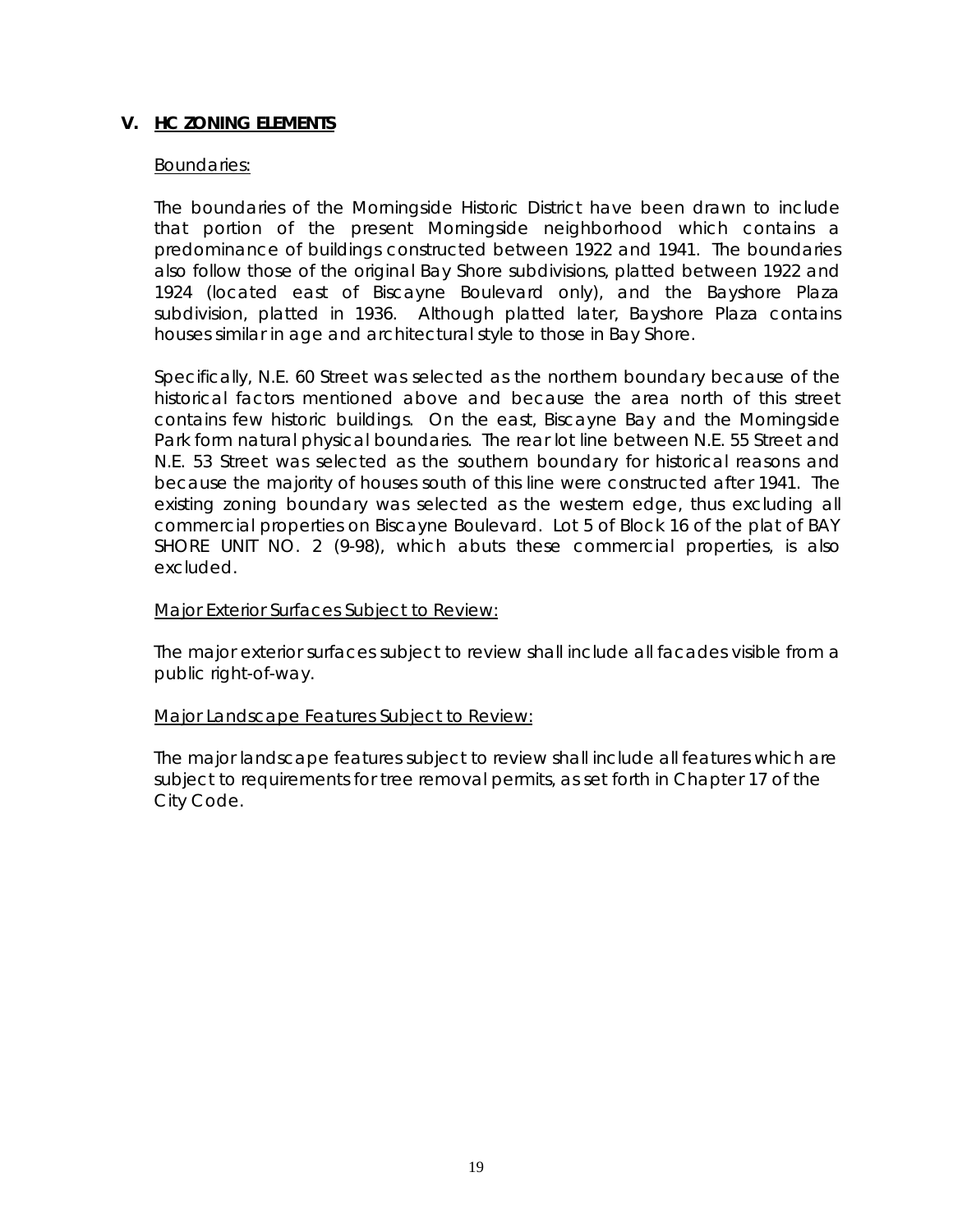#### **V. HC ZONING ELEMENTS**

#### Boundaries:

The boundaries of the Morningside Historic District have been drawn to include that portion of the present Morningside neighborhood which contains a predominance of buildings constructed between 1922 and 1941. The boundaries also follow those of the original Bay Shore subdivisions, platted between 1922 and 1924 (located east of Biscayne Boulevard only), and the Bayshore Plaza subdivision, platted in 1936. Although platted later, Bayshore Plaza contains houses similar in age and architectural style to those in Bay Shore.

Specifically, N.E. 60 Street was selected as the northern boundary because of the historical factors mentioned above and because the area north of this street contains few historic buildings. On the east, Biscayne Bay and the Morningside Park form natural physical boundaries. The rear lot line between N.E. 55 Street and N.E. 53 Street was selected as the southern boundary for historical reasons and because the majority of houses south of this line were constructed after 1941. The existing zoning boundary was selected as the western edge, thus excluding all commercial properties on Biscayne Boulevard. Lot 5 of Block 16 of the plat of BAY SHORE UNIT NO. 2 (9-98), which abuts these commercial properties, is also excluded.

#### Major Exterior Surfaces Subject to Review:

The major exterior surfaces subject to review shall include all facades visible from a public right-of-way.

#### Major Landscape Features Subject to Review:

The major landscape features subject to review shall include all features which are subject to requirements for tree removal permits, as set forth in Chapter 17 of the City Code.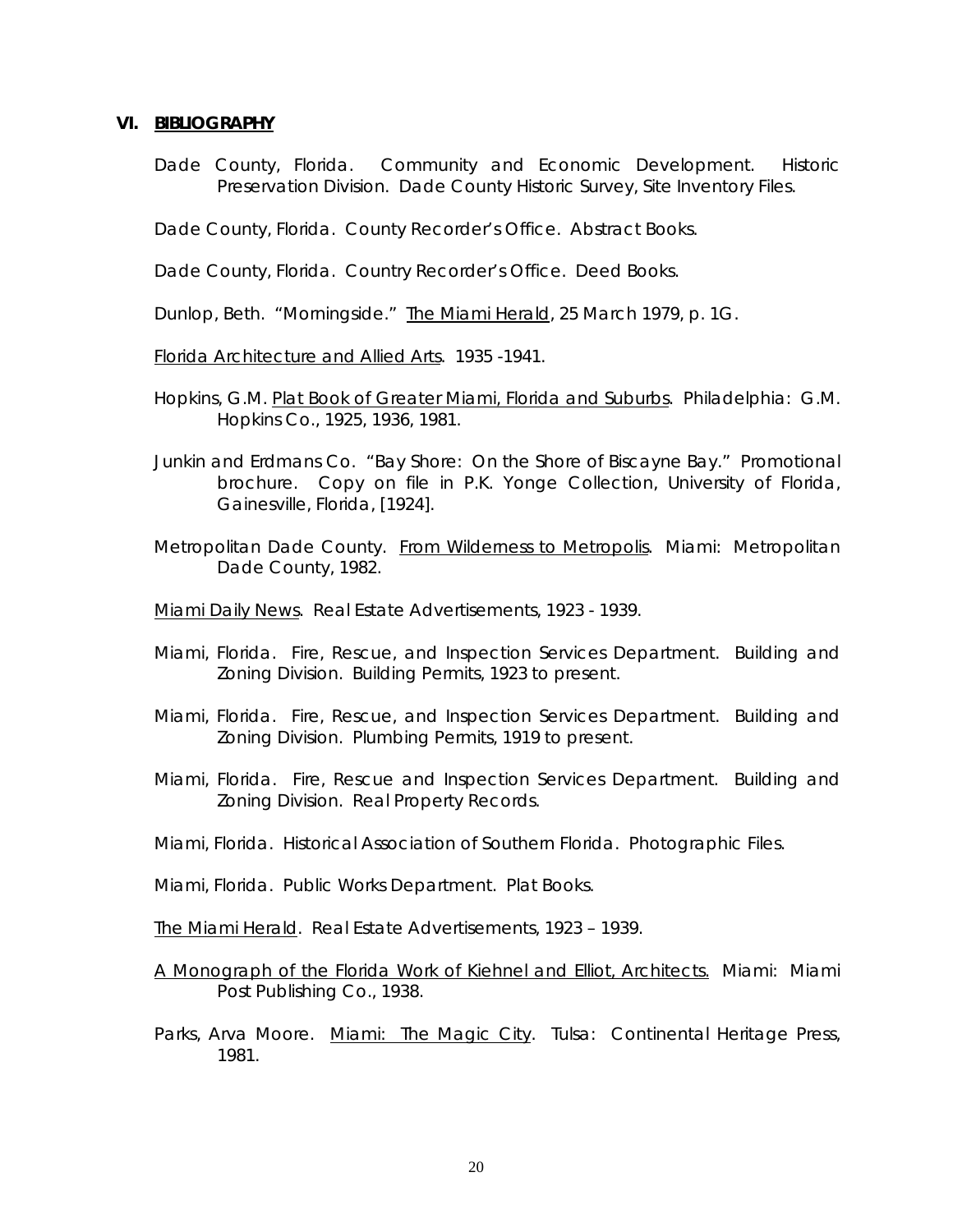#### **VI. BIBLIOGRAPHY**

Dade County, Florida. Community and Economic Development. Historic Preservation Division. Dade County Historic Survey, Site Inventory Files.

Dade County, Florida. County Recorder's Office. Abstract Books.

Dade County, Florida. Country Recorder's Office. Deed Books.

Dunlop, Beth. "Morningside." The Miami Herald, 25 March 1979, p. 1G.

Florida Architecture and Allied Arts. 1935 -1941.

- Hopkins, G.M. Plat Book of Greater Miami, Florida and Suburbs. Philadelphia: G.M. Hopkins Co., 1925, 1936, 1981.
- Junkin and Erdmans Co. "Bay Shore: On the Shore of Biscayne Bay." Promotional brochure. Copy on file in P.K. Yonge Collection, University of Florida, Gainesville, Florida, [1924].
- Metropolitan Dade County. From Wilderness to Metropolis. Miami: Metropolitan Dade County, 1982.

Miami Daily News. Real Estate Advertisements, 1923 - 1939.

- Miami, Florida. Fire, Rescue, and Inspection Services Department. Building and Zoning Division. Building Permits, 1923 to present.
- Miami, Florida. Fire, Rescue, and Inspection Services Department. Building and Zoning Division. Plumbing Permits, 1919 to present.
- Miami, Florida. Fire, Rescue and Inspection Services Department. Building and Zoning Division. Real Property Records.
- Miami, Florida. Historical Association of Southern Florida. Photographic Files.

Miami, Florida. Public Works Department. Plat Books.

- The Miami Herald. Real Estate Advertisements, 1923 1939.
- A Monograph of the Florida Work of Kiehnel and Elliot, Architects. Miami: Miami Post Publishing Co., 1938.
- Parks, Arva Moore. Miami: The Magic City. Tulsa: Continental Heritage Press, 1981.